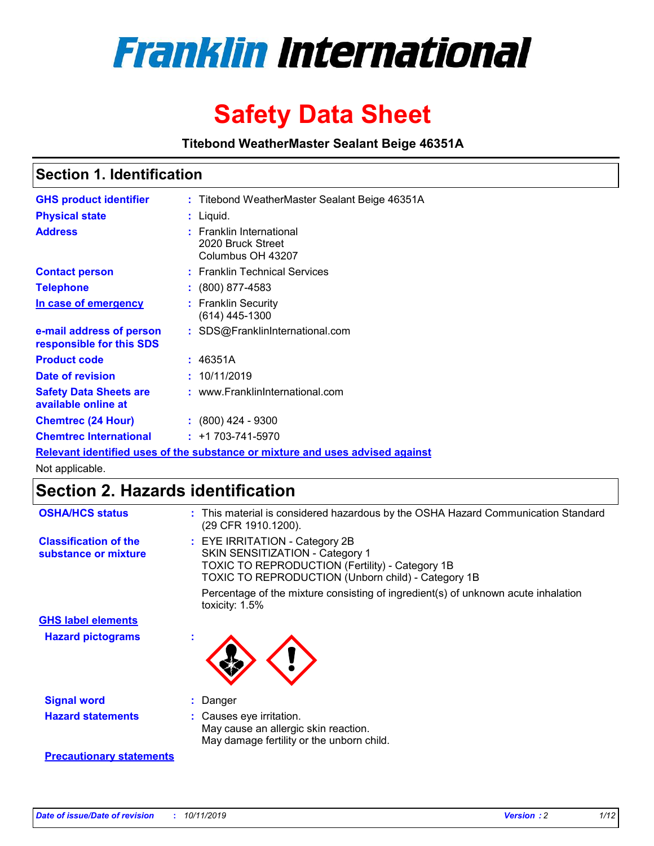

# **Safety Data Sheet**

**Titebond WeatherMaster Sealant Beige 46351A**

### **Section 1. Identification**

| <b>GHS product identifier</b>                        | : Titebond WeatherMaster Sealant Beige 46351A                                 |
|------------------------------------------------------|-------------------------------------------------------------------------------|
| <b>Physical state</b>                                | : Liquid.                                                                     |
| <b>Address</b>                                       | : Franklin International<br>2020 Bruck Street<br>Columbus OH 43207            |
| <b>Contact person</b>                                | : Franklin Technical Services                                                 |
| <b>Telephone</b>                                     | : (800) 877-4583                                                              |
| In case of emergency                                 | : Franklin Security<br>$(614)$ 445-1300                                       |
| e-mail address of person<br>responsible for this SDS | : SDS@FranklinInternational.com                                               |
| <b>Product code</b>                                  | : 46351A                                                                      |
| Date of revision                                     | : 10/11/2019                                                                  |
| <b>Safety Data Sheets are</b><br>available online at | : www.FranklinInternational.com                                               |
| <b>Chemtrec (24 Hour)</b>                            | $\div$ (800) 424 - 9300                                                       |
| <b>Chemtrec International</b>                        | $: +1703 - 741 - 5970$                                                        |
|                                                      | Relevant identified uses of the substance or mixture and uses advised against |

Not applicable.

## **Section 2. Hazards identification**

| <b>OSHA/HCS status</b>                               | : This material is considered hazardous by the OSHA Hazard Communication Standard<br>(29 CFR 1910.1200).                                                                                 |
|------------------------------------------------------|------------------------------------------------------------------------------------------------------------------------------------------------------------------------------------------|
| <b>Classification of the</b><br>substance or mixture | : EYE IRRITATION - Category 2B<br>SKIN SENSITIZATION - Category 1<br><b>TOXIC TO REPRODUCTION (Fertility) - Category 1B</b><br><b>TOXIC TO REPRODUCTION (Unborn child) - Category 1B</b> |
|                                                      | Percentage of the mixture consisting of ingredient(s) of unknown acute inhalation<br>toxicity: $1.5\%$                                                                                   |
| <b>GHS label elements</b>                            |                                                                                                                                                                                          |
| <b>Hazard pictograms</b>                             |                                                                                                                                                                                          |
| <b>Signal word</b>                                   | : Danger                                                                                                                                                                                 |
| <b>Hazard statements</b>                             | : Causes eye irritation.<br>May cause an allergic skin reaction.<br>May damage fertility or the unborn child.                                                                            |
| <b>Precautionary statements</b>                      |                                                                                                                                                                                          |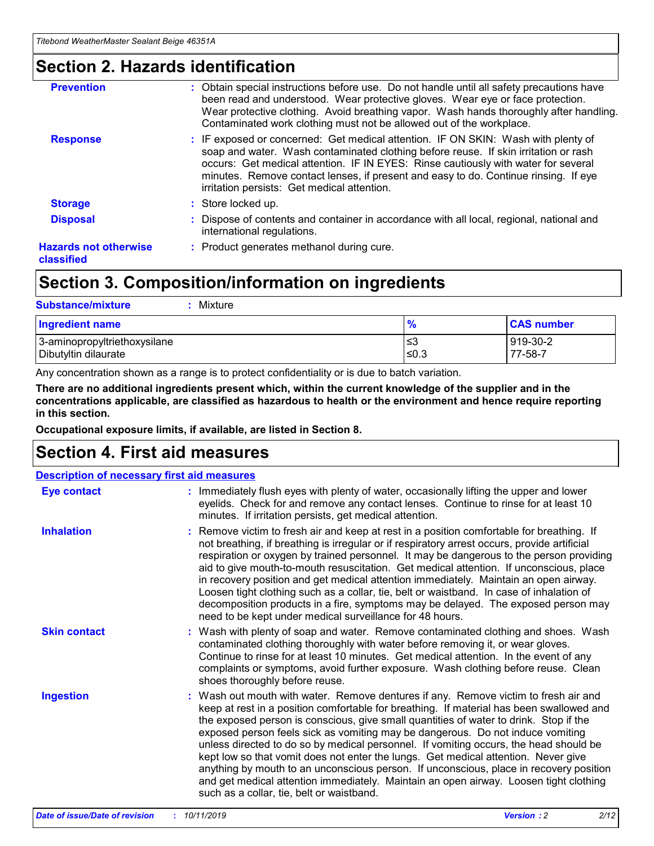### **Section 2. Hazards identification**

| <b>Prevention</b>                          | : Obtain special instructions before use. Do not handle until all safety precautions have<br>been read and understood. Wear protective gloves. Wear eye or face protection.<br>Wear protective clothing. Avoid breathing vapor. Wash hands thoroughly after handling.<br>Contaminated work clothing must not be allowed out of the workplace.                                                        |
|--------------------------------------------|------------------------------------------------------------------------------------------------------------------------------------------------------------------------------------------------------------------------------------------------------------------------------------------------------------------------------------------------------------------------------------------------------|
| <b>Response</b>                            | : IF exposed or concerned: Get medical attention. IF ON SKIN: Wash with plenty of<br>soap and water. Wash contaminated clothing before reuse. If skin irritation or rash<br>occurs: Get medical attention. IF IN EYES: Rinse cautiously with water for several<br>minutes. Remove contact lenses, if present and easy to do. Continue rinsing. If eye<br>irritation persists: Get medical attention. |
| <b>Storage</b>                             | : Store locked up.                                                                                                                                                                                                                                                                                                                                                                                   |
| <b>Disposal</b>                            | : Dispose of contents and container in accordance with all local, regional, national and<br>international regulations.                                                                                                                                                                                                                                                                               |
| <b>Hazards not otherwise</b><br>classified | : Product generates methanol during cure.                                                                                                                                                                                                                                                                                                                                                            |
|                                            |                                                                                                                                                                                                                                                                                                                                                                                                      |

### **Section 3. Composition/information on ingredients**

| <b>Substance/mixture</b><br>Mixture                  |                   |                     |
|------------------------------------------------------|-------------------|---------------------|
| <b>Ingredient name</b>                               | $\frac{9}{6}$     | <b>CAS number</b>   |
| 3-aminopropyltriethoxysilane<br>Dibutyltin dilaurate | l≤3<br>$\leq 0.3$ | 919-30-2<br>77-58-7 |

Any concentration shown as a range is to protect confidentiality or is due to batch variation.

**There are no additional ingredients present which, within the current knowledge of the supplier and in the concentrations applicable, are classified as hazardous to health or the environment and hence require reporting in this section.**

**Occupational exposure limits, if available, are listed in Section 8.**

### **Section 4. First aid measures**

| <b>Description of necessary first aid measures</b> |                                                                                                                                                                                                                                                                                                                                                                                                                                                                                                                                                                                                                                                                                                                                                                           |  |  |  |
|----------------------------------------------------|---------------------------------------------------------------------------------------------------------------------------------------------------------------------------------------------------------------------------------------------------------------------------------------------------------------------------------------------------------------------------------------------------------------------------------------------------------------------------------------------------------------------------------------------------------------------------------------------------------------------------------------------------------------------------------------------------------------------------------------------------------------------------|--|--|--|
| <b>Eye contact</b>                                 | : Immediately flush eyes with plenty of water, occasionally lifting the upper and lower<br>eyelids. Check for and remove any contact lenses. Continue to rinse for at least 10<br>minutes. If irritation persists, get medical attention.                                                                                                                                                                                                                                                                                                                                                                                                                                                                                                                                 |  |  |  |
| <b>Inhalation</b>                                  | : Remove victim to fresh air and keep at rest in a position comfortable for breathing. If<br>not breathing, if breathing is irregular or if respiratory arrest occurs, provide artificial<br>respiration or oxygen by trained personnel. It may be dangerous to the person providing<br>aid to give mouth-to-mouth resuscitation. Get medical attention. If unconscious, place<br>in recovery position and get medical attention immediately. Maintain an open airway.<br>Loosen tight clothing such as a collar, tie, belt or waistband. In case of inhalation of<br>decomposition products in a fire, symptoms may be delayed. The exposed person may<br>need to be kept under medical surveillance for 48 hours.                                                       |  |  |  |
| <b>Skin contact</b>                                | : Wash with plenty of soap and water. Remove contaminated clothing and shoes. Wash<br>contaminated clothing thoroughly with water before removing it, or wear gloves.<br>Continue to rinse for at least 10 minutes. Get medical attention. In the event of any<br>complaints or symptoms, avoid further exposure. Wash clothing before reuse. Clean<br>shoes thoroughly before reuse.                                                                                                                                                                                                                                                                                                                                                                                     |  |  |  |
| <b>Ingestion</b>                                   | : Wash out mouth with water. Remove dentures if any. Remove victim to fresh air and<br>keep at rest in a position comfortable for breathing. If material has been swallowed and<br>the exposed person is conscious, give small quantities of water to drink. Stop if the<br>exposed person feels sick as vomiting may be dangerous. Do not induce vomiting<br>unless directed to do so by medical personnel. If vomiting occurs, the head should be<br>kept low so that vomit does not enter the lungs. Get medical attention. Never give<br>anything by mouth to an unconscious person. If unconscious, place in recovery position<br>and get medical attention immediately. Maintain an open airway. Loosen tight clothing<br>such as a collar, tie, belt or waistband. |  |  |  |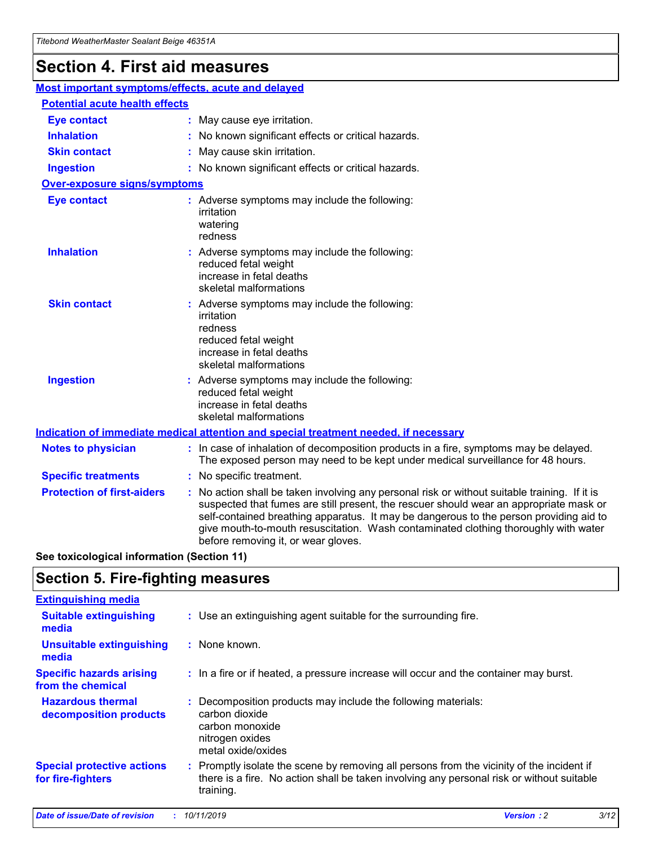## **Section 4. First aid measures**

| Most important symptoms/effects, acute and delayed |                                       |                                                                                                                                                                                                                                                                                                                                                                                                                 |  |  |  |
|----------------------------------------------------|---------------------------------------|-----------------------------------------------------------------------------------------------------------------------------------------------------------------------------------------------------------------------------------------------------------------------------------------------------------------------------------------------------------------------------------------------------------------|--|--|--|
|                                                    | <b>Potential acute health effects</b> |                                                                                                                                                                                                                                                                                                                                                                                                                 |  |  |  |
| <b>Eye contact</b>                                 |                                       | : May cause eye irritation.                                                                                                                                                                                                                                                                                                                                                                                     |  |  |  |
| <b>Inhalation</b>                                  |                                       | : No known significant effects or critical hazards.                                                                                                                                                                                                                                                                                                                                                             |  |  |  |
| <b>Skin contact</b>                                |                                       | : May cause skin irritation.                                                                                                                                                                                                                                                                                                                                                                                    |  |  |  |
| <b>Ingestion</b>                                   |                                       | : No known significant effects or critical hazards.                                                                                                                                                                                                                                                                                                                                                             |  |  |  |
| <b>Over-exposure signs/symptoms</b>                |                                       |                                                                                                                                                                                                                                                                                                                                                                                                                 |  |  |  |
| <b>Eye contact</b>                                 |                                       | : Adverse symptoms may include the following:<br>irritation<br>watering<br>redness                                                                                                                                                                                                                                                                                                                              |  |  |  |
| <b>Inhalation</b>                                  |                                       | : Adverse symptoms may include the following:<br>reduced fetal weight<br>increase in fetal deaths<br>skeletal malformations                                                                                                                                                                                                                                                                                     |  |  |  |
| <b>Skin contact</b>                                |                                       | : Adverse symptoms may include the following:<br>irritation<br>redness<br>reduced fetal weight<br>increase in fetal deaths<br>skeletal malformations                                                                                                                                                                                                                                                            |  |  |  |
| <b>Ingestion</b>                                   |                                       | : Adverse symptoms may include the following:<br>reduced fetal weight<br>increase in fetal deaths<br>skeletal malformations                                                                                                                                                                                                                                                                                     |  |  |  |
|                                                    |                                       | <b>Indication of immediate medical attention and special treatment needed, if necessary</b>                                                                                                                                                                                                                                                                                                                     |  |  |  |
| <b>Notes to physician</b>                          |                                       | : In case of inhalation of decomposition products in a fire, symptoms may be delayed.<br>The exposed person may need to be kept under medical surveillance for 48 hours.                                                                                                                                                                                                                                        |  |  |  |
| <b>Specific treatments</b>                         |                                       | : No specific treatment.                                                                                                                                                                                                                                                                                                                                                                                        |  |  |  |
| <b>Protection of first-aiders</b>                  |                                       | : No action shall be taken involving any personal risk or without suitable training. If it is<br>suspected that fumes are still present, the rescuer should wear an appropriate mask or<br>self-contained breathing apparatus. It may be dangerous to the person providing aid to<br>give mouth-to-mouth resuscitation. Wash contaminated clothing thoroughly with water<br>before removing it, or wear gloves. |  |  |  |

**See toxicological information (Section 11)**

### **Section 5. Fire-fighting measures**

| <b>Extinguishing media</b>                             |                                                                                                                                                                                                     |
|--------------------------------------------------------|-----------------------------------------------------------------------------------------------------------------------------------------------------------------------------------------------------|
| <b>Suitable extinguishing</b><br>media                 | : Use an extinguishing agent suitable for the surrounding fire.                                                                                                                                     |
| <b>Unsuitable extinguishing</b><br>media               | : None known.                                                                                                                                                                                       |
| <b>Specific hazards arising</b><br>from the chemical   | : In a fire or if heated, a pressure increase will occur and the container may burst.                                                                                                               |
| <b>Hazardous thermal</b><br>decomposition products     | : Decomposition products may include the following materials:<br>carbon dioxide<br>carbon monoxide<br>nitrogen oxides<br>metal oxide/oxides                                                         |
| <b>Special protective actions</b><br>for fire-fighters | : Promptly isolate the scene by removing all persons from the vicinity of the incident if<br>there is a fire. No action shall be taken involving any personal risk or without suitable<br>training. |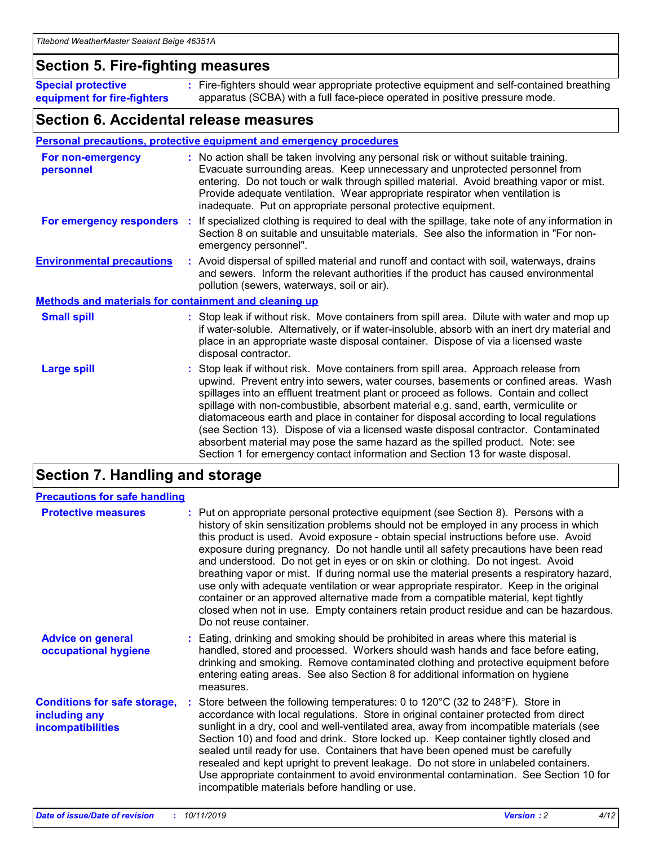### **Section 5. Fire-fighting measures**

**Special protective equipment for fire-fighters** Fire-fighters should wear appropriate protective equipment and self-contained breathing **:** apparatus (SCBA) with a full face-piece operated in positive pressure mode.

### **Section 6. Accidental release measures**

#### **Personal precautions, protective equipment and emergency procedures**

| For non-emergency<br>personnel                               | : No action shall be taken involving any personal risk or without suitable training.<br>Evacuate surrounding areas. Keep unnecessary and unprotected personnel from<br>entering. Do not touch or walk through spilled material. Avoid breathing vapor or mist.<br>Provide adequate ventilation. Wear appropriate respirator when ventilation is<br>inadequate. Put on appropriate personal protective equipment.                                                                                                                                                                                                                                                                                             |
|--------------------------------------------------------------|--------------------------------------------------------------------------------------------------------------------------------------------------------------------------------------------------------------------------------------------------------------------------------------------------------------------------------------------------------------------------------------------------------------------------------------------------------------------------------------------------------------------------------------------------------------------------------------------------------------------------------------------------------------------------------------------------------------|
|                                                              | For emergency responders : If specialized clothing is required to deal with the spillage, take note of any information in<br>Section 8 on suitable and unsuitable materials. See also the information in "For non-<br>emergency personnel".                                                                                                                                                                                                                                                                                                                                                                                                                                                                  |
| <b>Environmental precautions</b>                             | : Avoid dispersal of spilled material and runoff and contact with soil, waterways, drains<br>and sewers. Inform the relevant authorities if the product has caused environmental<br>pollution (sewers, waterways, soil or air).                                                                                                                                                                                                                                                                                                                                                                                                                                                                              |
| <b>Methods and materials for containment and cleaning up</b> |                                                                                                                                                                                                                                                                                                                                                                                                                                                                                                                                                                                                                                                                                                              |
| <b>Small spill</b>                                           | : Stop leak if without risk. Move containers from spill area. Dilute with water and mop up<br>if water-soluble. Alternatively, or if water-insoluble, absorb with an inert dry material and<br>place in an appropriate waste disposal container. Dispose of via a licensed waste<br>disposal contractor.                                                                                                                                                                                                                                                                                                                                                                                                     |
| <b>Large spill</b>                                           | : Stop leak if without risk. Move containers from spill area. Approach release from<br>upwind. Prevent entry into sewers, water courses, basements or confined areas. Wash<br>spillages into an effluent treatment plant or proceed as follows. Contain and collect<br>spillage with non-combustible, absorbent material e.g. sand, earth, vermiculite or<br>diatomaceous earth and place in container for disposal according to local regulations<br>(see Section 13). Dispose of via a licensed waste disposal contractor. Contaminated<br>absorbent material may pose the same hazard as the spilled product. Note: see<br>Section 1 for emergency contact information and Section 13 for waste disposal. |

### **Section 7. Handling and storage**

| <b>Precautions for safe handling</b>                                             |                                                                                                                                                                                                                                                                                                                                                                                                                                                                                                                                                                                                                                                                                                                                                                                                                                                  |
|----------------------------------------------------------------------------------|--------------------------------------------------------------------------------------------------------------------------------------------------------------------------------------------------------------------------------------------------------------------------------------------------------------------------------------------------------------------------------------------------------------------------------------------------------------------------------------------------------------------------------------------------------------------------------------------------------------------------------------------------------------------------------------------------------------------------------------------------------------------------------------------------------------------------------------------------|
| <b>Protective measures</b>                                                       | : Put on appropriate personal protective equipment (see Section 8). Persons with a<br>history of skin sensitization problems should not be employed in any process in which<br>this product is used. Avoid exposure - obtain special instructions before use. Avoid<br>exposure during pregnancy. Do not handle until all safety precautions have been read<br>and understood. Do not get in eyes or on skin or clothing. Do not ingest. Avoid<br>breathing vapor or mist. If during normal use the material presents a respiratory hazard,<br>use only with adequate ventilation or wear appropriate respirator. Keep in the original<br>container or an approved alternative made from a compatible material, kept tightly<br>closed when not in use. Empty containers retain product residue and can be hazardous.<br>Do not reuse container. |
| <b>Advice on general</b><br>occupational hygiene                                 | : Eating, drinking and smoking should be prohibited in areas where this material is<br>handled, stored and processed. Workers should wash hands and face before eating,<br>drinking and smoking. Remove contaminated clothing and protective equipment before<br>entering eating areas. See also Section 8 for additional information on hygiene<br>measures.                                                                                                                                                                                                                                                                                                                                                                                                                                                                                    |
| <b>Conditions for safe storage,</b><br>including any<br><b>incompatibilities</b> | Store between the following temperatures: 0 to 120 $^{\circ}$ C (32 to 248 $^{\circ}$ F). Store in<br>accordance with local regulations. Store in original container protected from direct<br>sunlight in a dry, cool and well-ventilated area, away from incompatible materials (see<br>Section 10) and food and drink. Store locked up. Keep container tightly closed and<br>sealed until ready for use. Containers that have been opened must be carefully<br>resealed and kept upright to prevent leakage. Do not store in unlabeled containers.<br>Use appropriate containment to avoid environmental contamination. See Section 10 for<br>incompatible materials before handling or use.                                                                                                                                                   |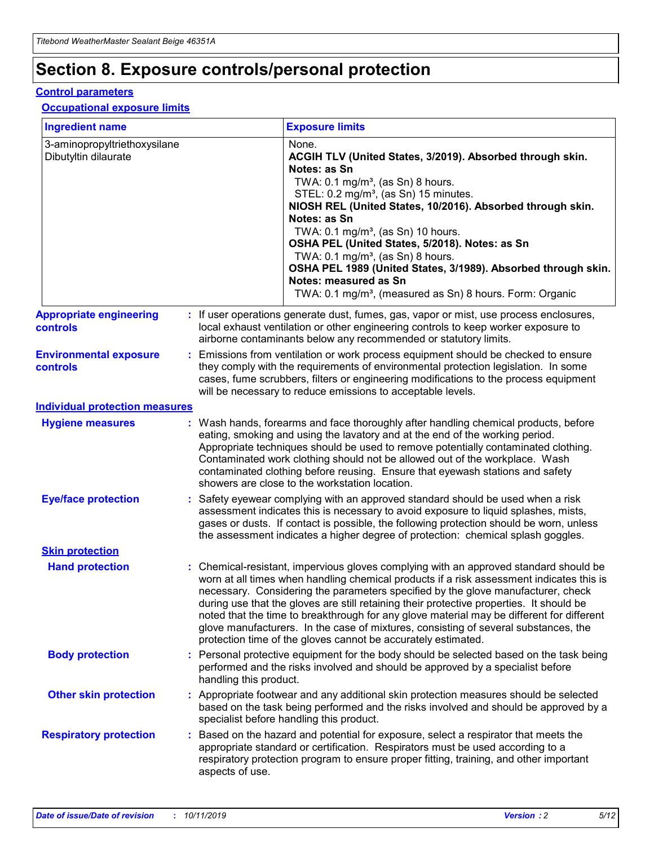## **Section 8. Exposure controls/personal protection**

#### **Control parameters**

### **Occupational exposure limits**

| <b>Ingredient name</b>                               |    |                                          | <b>Exposure limits</b>                                                                                                                                                                                                                                                                                                                                                                                                                                                                                                                                                                                                 |
|------------------------------------------------------|----|------------------------------------------|------------------------------------------------------------------------------------------------------------------------------------------------------------------------------------------------------------------------------------------------------------------------------------------------------------------------------------------------------------------------------------------------------------------------------------------------------------------------------------------------------------------------------------------------------------------------------------------------------------------------|
| 3-aminopropyltriethoxysilane<br>Dibutyltin dilaurate |    |                                          | None.<br>ACGIH TLV (United States, 3/2019). Absorbed through skin.<br>Notes: as Sn<br>TWA: 0.1 mg/m <sup>3</sup> , (as Sn) 8 hours.<br>STEL: 0.2 mg/m <sup>3</sup> , (as Sn) 15 minutes.<br>NIOSH REL (United States, 10/2016). Absorbed through skin.<br>Notes: as Sn<br>TWA: 0.1 mg/m <sup>3</sup> , (as Sn) 10 hours.<br>OSHA PEL (United States, 5/2018). Notes: as Sn<br>TWA: $0.1 \text{ mg/m}^3$ , (as Sn) 8 hours.<br>OSHA PEL 1989 (United States, 3/1989). Absorbed through skin.<br>Notes: measured as Sn<br>TWA: 0.1 mg/m <sup>3</sup> , (measured as Sn) 8 hours. Form: Organic                           |
| <b>Appropriate engineering</b><br>controls           |    |                                          | : If user operations generate dust, fumes, gas, vapor or mist, use process enclosures,<br>local exhaust ventilation or other engineering controls to keep worker exposure to<br>airborne contaminants below any recommended or statutory limits.                                                                                                                                                                                                                                                                                                                                                                       |
| <b>Environmental exposure</b><br><b>controls</b>     |    |                                          | Emissions from ventilation or work process equipment should be checked to ensure<br>they comply with the requirements of environmental protection legislation. In some<br>cases, fume scrubbers, filters or engineering modifications to the process equipment<br>will be necessary to reduce emissions to acceptable levels.                                                                                                                                                                                                                                                                                          |
| <b>Individual protection measures</b>                |    |                                          |                                                                                                                                                                                                                                                                                                                                                                                                                                                                                                                                                                                                                        |
| <b>Hygiene measures</b>                              |    |                                          | : Wash hands, forearms and face thoroughly after handling chemical products, before<br>eating, smoking and using the lavatory and at the end of the working period.<br>Appropriate techniques should be used to remove potentially contaminated clothing.<br>Contaminated work clothing should not be allowed out of the workplace. Wash<br>contaminated clothing before reusing. Ensure that eyewash stations and safety<br>showers are close to the workstation location.                                                                                                                                            |
| <b>Eye/face protection</b>                           |    |                                          | : Safety eyewear complying with an approved standard should be used when a risk<br>assessment indicates this is necessary to avoid exposure to liquid splashes, mists,<br>gases or dusts. If contact is possible, the following protection should be worn, unless<br>the assessment indicates a higher degree of protection: chemical splash goggles.                                                                                                                                                                                                                                                                  |
| <b>Skin protection</b>                               |    |                                          |                                                                                                                                                                                                                                                                                                                                                                                                                                                                                                                                                                                                                        |
| <b>Hand protection</b>                               |    |                                          | : Chemical-resistant, impervious gloves complying with an approved standard should be<br>worn at all times when handling chemical products if a risk assessment indicates this is<br>necessary. Considering the parameters specified by the glove manufacturer, check<br>during use that the gloves are still retaining their protective properties. It should be<br>noted that the time to breakthrough for any glove material may be different for different<br>glove manufacturers. In the case of mixtures, consisting of several substances, the<br>protection time of the gloves cannot be accurately estimated. |
| <b>Body protection</b>                               |    | handling this product.                   | Personal protective equipment for the body should be selected based on the task being<br>performed and the risks involved and should be approved by a specialist before                                                                                                                                                                                                                                                                                                                                                                                                                                                |
| <b>Other skin protection</b>                         |    | specialist before handling this product. | : Appropriate footwear and any additional skin protection measures should be selected<br>based on the task being performed and the risks involved and should be approved by a                                                                                                                                                                                                                                                                                                                                                                                                                                          |
| <b>Respiratory protection</b>                        | ÷. | aspects of use.                          | Based on the hazard and potential for exposure, select a respirator that meets the<br>appropriate standard or certification. Respirators must be used according to a<br>respiratory protection program to ensure proper fitting, training, and other important                                                                                                                                                                                                                                                                                                                                                         |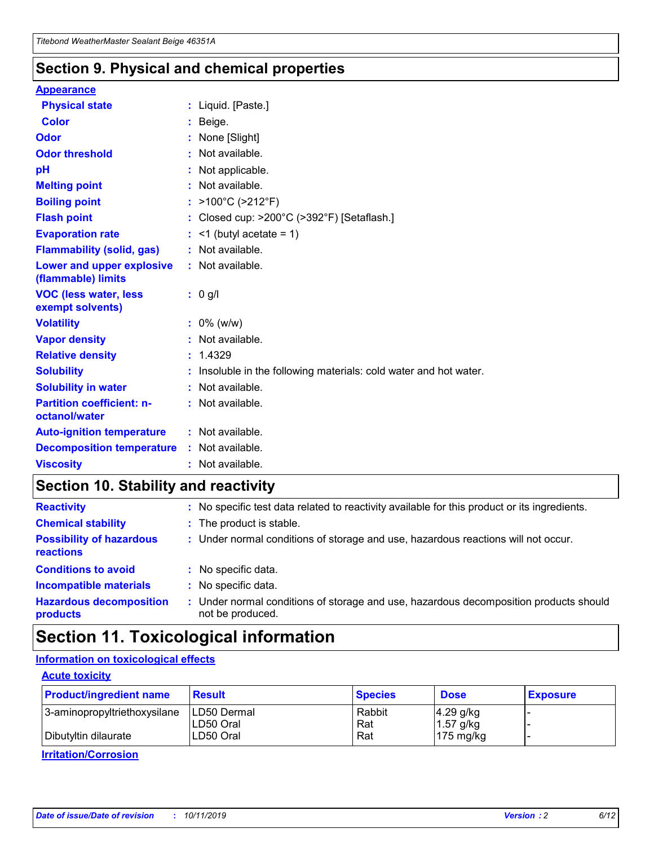### **Section 9. Physical and chemical properties**

#### **Appearance**

| <b>Physical state</b>                             | : Liquid. [Paste.]                                              |
|---------------------------------------------------|-----------------------------------------------------------------|
| Color                                             | Beige.                                                          |
| Odor                                              | None [Slight]                                                   |
| <b>Odor threshold</b>                             | : Not available.                                                |
| рH                                                | : Not applicable.                                               |
| <b>Melting point</b>                              | : Not available.                                                |
| <b>Boiling point</b>                              | : >100°C (>212°F)                                               |
| <b>Flash point</b>                                | : Closed cup: $>200^{\circ}$ C ( $>392^{\circ}$ F) [Setaflash.] |
| <b>Evaporation rate</b>                           | $:$ <1 (butyl acetate = 1)                                      |
| <b>Flammability (solid, gas)</b>                  | : Not available.                                                |
| Lower and upper explosive<br>(flammable) limits   | : Not available.                                                |
| <b>VOC (less water, less</b><br>exempt solvents)  | : 0 g/l                                                         |
| <b>Volatility</b>                                 | $: 0\%$ (w/w)                                                   |
| <b>Vapor density</b>                              | : Not available.                                                |
| <b>Relative density</b>                           | : 1.4329                                                        |
| <b>Solubility</b>                                 | Insoluble in the following materials: cold water and hot water. |
| <b>Solubility in water</b>                        | : Not available.                                                |
| <b>Partition coefficient: n-</b><br>octanol/water | $:$ Not available.                                              |
| <b>Auto-ignition temperature</b>                  | : Not available.                                                |
|                                                   |                                                                 |
| <b>Decomposition temperature</b>                  | : Not available.                                                |

### **Section 10. Stability and reactivity**

| <b>Reactivity</b>                            |    | : No specific test data related to reactivity available for this product or its ingredients.            |
|----------------------------------------------|----|---------------------------------------------------------------------------------------------------------|
| <b>Chemical stability</b>                    |    | : The product is stable.                                                                                |
| <b>Possibility of hazardous</b><br>reactions |    | : Under normal conditions of storage and use, hazardous reactions will not occur.                       |
| <b>Conditions to avoid</b>                   |    | : No specific data.                                                                                     |
| <b>Incompatible materials</b>                | ٠. | No specific data.                                                                                       |
| <b>Hazardous decomposition</b><br>products   | ÷. | Under normal conditions of storage and use, hazardous decomposition products should<br>not be produced. |

### **Section 11. Toxicological information**

### **Information on toxicological effects**

### **Acute toxicity**

| <b>Product/ingredient name</b> | <b>Result</b>           | <b>Species</b> | <b>Dose</b>                | <b>Exposure</b> |
|--------------------------------|-------------------------|----------------|----------------------------|-----------------|
| 3-aminopropyltriethoxysilane   | <b>ILD50 Dermal</b>     | Rabbit         | 4.29 g/kg                  |                 |
| Dibutyltin dilaurate           | ILD50 Oral<br>LD50 Oral | Rat<br>Rat     | $1.57$ g/kg<br>175 $mg/kg$ |                 |
|                                |                         |                |                            |                 |

**Irritation/Corrosion**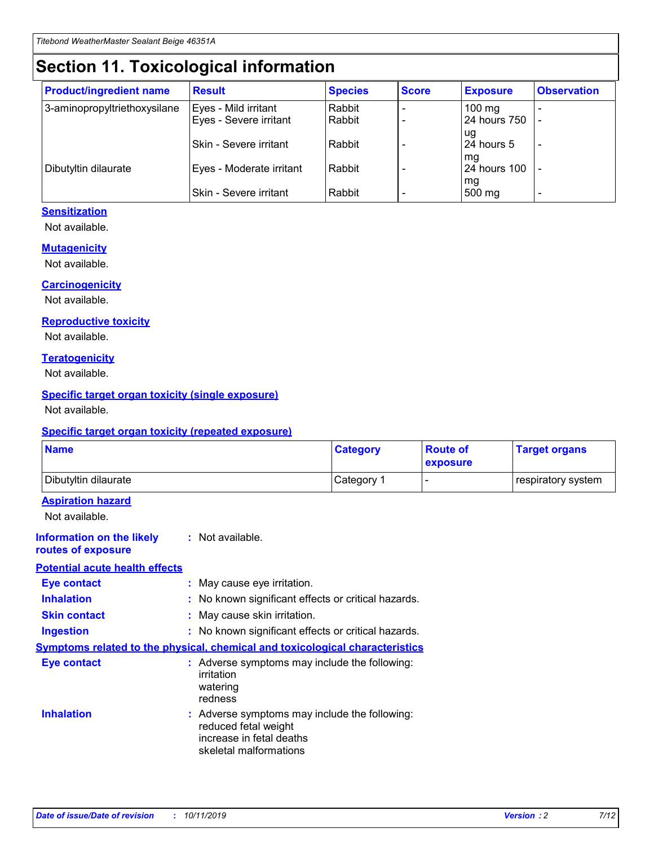## **Section 11. Toxicological information**

| <b>Product/ingredient name</b> | <b>Result</b>            | <b>Species</b> | <b>Score</b> | <b>Exposure</b>           | <b>Observation</b> |
|--------------------------------|--------------------------|----------------|--------------|---------------------------|--------------------|
| 3-aminopropyltriethoxysilane   | Eyes - Mild irritant     | Rabbit         |              | $100$ mg                  |                    |
|                                | Eyes - Severe irritant   | Rabbit         |              | 24 hours 750              |                    |
|                                |                          |                |              | ug                        |                    |
|                                | Skin - Severe irritant   | Rabbit         |              | 24 hours 5                | -                  |
| Dibutyltin dilaurate           | Eyes - Moderate irritant | Rabbit         |              | mg<br><b>24 hours 100</b> |                    |
|                                |                          |                |              | mg                        |                    |
|                                | Skin - Severe irritant   | Rabbit         |              | 500 mg                    | -                  |

### **Sensitization**

Not available.

#### **Mutagenicity**

Not available.

#### **Carcinogenicity**

Not available.

#### **Reproductive toxicity**

Not available.

#### **Teratogenicity**

Not available.

#### **Specific target organ toxicity (single exposure)**

Not available.

#### **Specific target organ toxicity (repeated exposure)**

| <b>Name</b>                                                                         |                                                                            | <b>Category</b>                                     | <b>Route of</b><br>exposure | <b>Target organs</b> |
|-------------------------------------------------------------------------------------|----------------------------------------------------------------------------|-----------------------------------------------------|-----------------------------|----------------------|
| Dibutyltin dilaurate                                                                |                                                                            | Category 1                                          | $\overline{\phantom{0}}$    | respiratory system   |
| <b>Aspiration hazard</b><br>Not available.                                          |                                                                            |                                                     |                             |                      |
| <b>Information on the likely</b><br>routes of exposure                              | : Not available.                                                           |                                                     |                             |                      |
| <b>Potential acute health effects</b>                                               |                                                                            |                                                     |                             |                      |
| <b>Eye contact</b>                                                                  | : May cause eye irritation.                                                |                                                     |                             |                      |
| <b>Inhalation</b>                                                                   |                                                                            | : No known significant effects or critical hazards. |                             |                      |
| <b>Skin contact</b>                                                                 | : May cause skin irritation.                                               |                                                     |                             |                      |
| <b>Ingestion</b>                                                                    |                                                                            | : No known significant effects or critical hazards. |                             |                      |
| <b>Symptoms related to the physical, chemical and toxicological characteristics</b> |                                                                            |                                                     |                             |                      |
| <b>Eye contact</b>                                                                  | irritation<br>watering<br>redness                                          | : Adverse symptoms may include the following:       |                             |                      |
| <b>Inhalation</b>                                                                   | reduced fetal weight<br>increase in fetal deaths<br>skeletal malformations | : Adverse symptoms may include the following:       |                             |                      |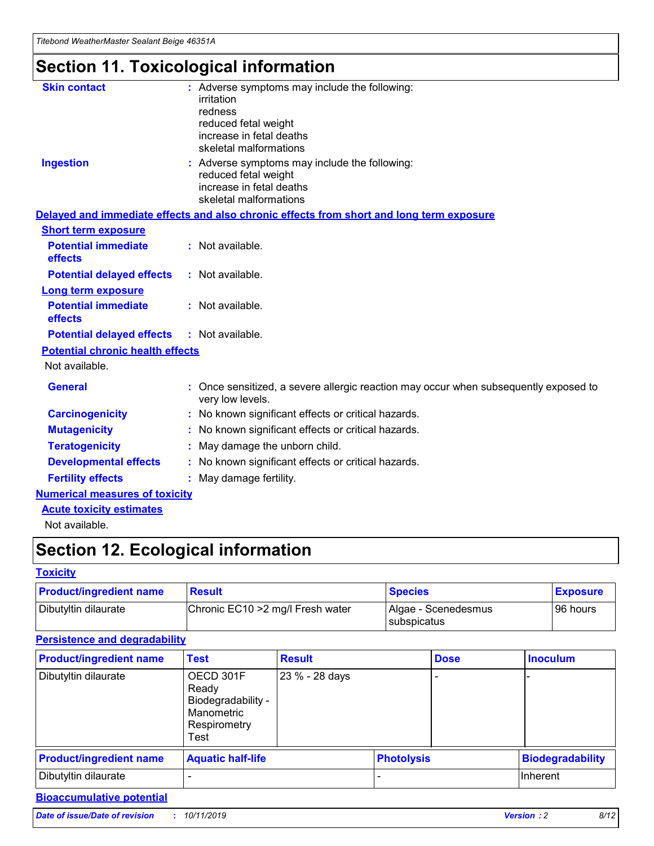## **Section 11. Toxicological information**

| <b>Skin contact</b>                     | : Adverse symptoms may include the following:<br>irritation                                              |
|-----------------------------------------|----------------------------------------------------------------------------------------------------------|
|                                         | redness                                                                                                  |
|                                         | reduced fetal weight                                                                                     |
|                                         | increase in fetal deaths                                                                                 |
|                                         | skeletal malformations                                                                                   |
| <b>Ingestion</b>                        | : Adverse symptoms may include the following:<br>reduced fetal weight                                    |
|                                         | increase in fetal deaths                                                                                 |
|                                         | skeletal malformations                                                                                   |
|                                         | Delayed and immediate effects and also chronic effects from short and long term exposure                 |
| <b>Short term exposure</b>              |                                                                                                          |
| <b>Potential immediate</b><br>effects   | : Not available.                                                                                         |
| <b>Potential delayed effects</b>        | : Not available.                                                                                         |
| Long term exposure                      |                                                                                                          |
| <b>Potential immediate</b>              | : Not available.                                                                                         |
| effects                                 |                                                                                                          |
| <b>Potential delayed effects</b>        | : Not available.                                                                                         |
| <b>Potential chronic health effects</b> |                                                                                                          |
| Not available.                          |                                                                                                          |
| <b>General</b>                          | : Once sensitized, a severe allergic reaction may occur when subsequently exposed to<br>very low levels. |
| <b>Carcinogenicity</b>                  | : No known significant effects or critical hazards.                                                      |
| <b>Mutagenicity</b>                     | No known significant effects or critical hazards.                                                        |
| <b>Teratogenicity</b>                   | May damage the unborn child.                                                                             |
| <b>Developmental effects</b>            | : No known significant effects or critical hazards.                                                      |
| <b>Fertility effects</b>                | : May damage fertility.                                                                                  |
| <b>Numerical measures of toxicity</b>   |                                                                                                          |
| <b>Acute toxicity estimates</b>         |                                                                                                          |
| .                                       |                                                                                                          |

Not available.

## **Section 12. Ecological information**

#### **Toxicity**

| <b>Product/ingredient name</b> | <b>Result</b>                     | <b>Species</b>                            | <b>Exposure</b> |
|--------------------------------|-----------------------------------|-------------------------------------------|-----------------|
| Dibutyltin dilaurate           | Chronic EC10 > 2 mg/l Fresh water | Algae - Scenedesmus<br><b>Subspicatus</b> | l 96 hours      |

### **Persistence and degradability**

| <b>Product/ingredient name</b> | Test                                                                           | <b>Result</b>  |                   | <b>Dose</b> | <b>Inoculum</b>         |
|--------------------------------|--------------------------------------------------------------------------------|----------------|-------------------|-------------|-------------------------|
| Dibutyltin dilaurate           | OECD 301F<br>Ready<br>Biodegradability -<br>Manometric<br>Respirometry<br>Test | 23 % - 28 days |                   |             |                         |
| <b>Product/ingredient name</b> | <b>Aquatic half-life</b>                                                       |                | <b>Photolysis</b> |             | <b>Biodegradability</b> |
| Dibutyltin dilaurate           |                                                                                |                |                   |             | Inherent                |

### **Bioaccumulative potential**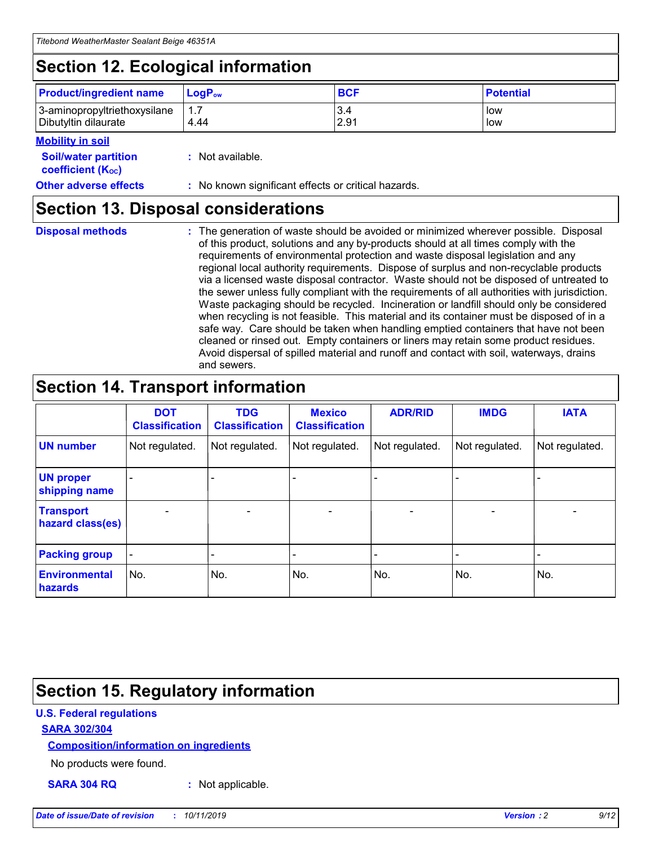## **Section 12. Ecological information**

| <b>Product/ingredient name</b> | $LoaPow$ | <b>BCF</b> | <b>Potential</b> |
|--------------------------------|----------|------------|------------------|
| 3-aminopropyltriethoxysilane   | 1.7      | 3.4        | low              |
| Dibutyltin dilaurate           | 4.44     | 2.91       | low              |

### **Mobility in soil**

| <i></i>                                                       |                                                     |
|---------------------------------------------------------------|-----------------------------------------------------|
| <b>Soil/water partition</b><br>coefficient (K <sub>oc</sub> ) | : Not available.                                    |
| <b>Other adverse effects</b>                                  | : No known significant effects or critical hazards. |

### **Section 13. Disposal considerations**

**Disposal methods :**

The generation of waste should be avoided or minimized wherever possible. Disposal of this product, solutions and any by-products should at all times comply with the requirements of environmental protection and waste disposal legislation and any regional local authority requirements. Dispose of surplus and non-recyclable products via a licensed waste disposal contractor. Waste should not be disposed of untreated to the sewer unless fully compliant with the requirements of all authorities with jurisdiction. Waste packaging should be recycled. Incineration or landfill should only be considered when recycling is not feasible. This material and its container must be disposed of in a safe way. Care should be taken when handling emptied containers that have not been cleaned or rinsed out. Empty containers or liners may retain some product residues. Avoid dispersal of spilled material and runoff and contact with soil, waterways, drains and sewers.

## **Section 14. Transport information**

|                                      | <b>DOT</b><br><b>Classification</b> | <b>TDG</b><br><b>Classification</b> | <b>Mexico</b><br><b>Classification</b> | <b>ADR/RID</b>           | <b>IMDG</b>              | <b>IATA</b>    |
|--------------------------------------|-------------------------------------|-------------------------------------|----------------------------------------|--------------------------|--------------------------|----------------|
| <b>UN number</b>                     | Not regulated.                      | Not regulated.                      | Not regulated.                         | Not regulated.           | Not regulated.           | Not regulated. |
| <b>UN proper</b><br>shipping name    | $\blacksquare$                      |                                     |                                        |                          |                          |                |
| <b>Transport</b><br>hazard class(es) | $\blacksquare$                      | $\overline{\phantom{a}}$            | $\overline{\phantom{a}}$               | $\overline{\phantom{a}}$ | $\overline{\phantom{a}}$ | $\blacksquare$ |
| <b>Packing group</b>                 | $\overline{\phantom{a}}$            | -                                   | -                                      | -                        |                          | -              |
| <b>Environmental</b><br>hazards      | No.                                 | No.                                 | No.                                    | No.                      | No.                      | No.            |

## **Section 15. Regulatory information**

### **U.S. Federal regulations**

### **SARA 302/304**

### **Composition/information on ingredients**

No products were found.

**SARA 304 RQ :** Not applicable.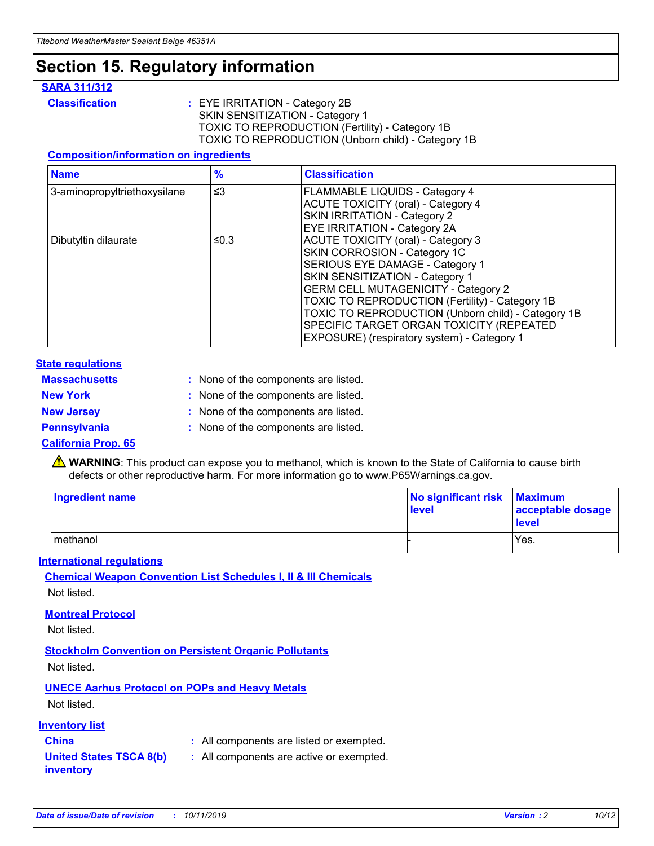## **Section 15. Regulatory information**

### **SARA 311/312**

**Classification :** EYE IRRITATION - Category 2B SKIN SENSITIZATION - Category 1 TOXIC TO REPRODUCTION (Fertility) - Category 1B TOXIC TO REPRODUCTION (Unborn child) - Category 1B

#### **Composition/information on ingredients**

| <b>Name</b>                  | $\frac{9}{6}$ | <b>Classification</b>                                                                                            |
|------------------------------|---------------|------------------------------------------------------------------------------------------------------------------|
| 3-aminopropyltriethoxysilane | $\leq$ 3      | <b>FLAMMABLE LIQUIDS - Category 4</b><br><b>ACUTE TOXICITY (oral) - Category 4</b>                               |
|                              |               | SKIN IRRITATION - Category 2<br>EYE IRRITATION - Category 2A                                                     |
| Dibutyltin dilaurate         | ≤0.3          | ACUTE TOXICITY (oral) - Category 3<br>SKIN CORROSION - Category 1C                                               |
|                              |               | SERIOUS EYE DAMAGE - Category 1<br>SKIN SENSITIZATION - Category 1<br><b>GERM CELL MUTAGENICITY - Category 2</b> |
|                              |               | TOXIC TO REPRODUCTION (Fertility) - Category 1B<br>TOXIC TO REPRODUCTION (Unborn child) - Category 1B            |
|                              |               | SPECIFIC TARGET ORGAN TOXICITY (REPEATED<br>EXPOSURE) (respiratory system) - Category 1                          |

#### **State regulations**

| <b>Massachusetts</b> | : None of the components are listed. |
|----------------------|--------------------------------------|
| <b>New York</b>      | : None of the components are listed. |
| <b>New Jersey</b>    | : None of the components are listed. |
| <b>Pennsylvania</b>  | : None of the components are listed. |

#### **California Prop. 65**

**A** WARNING: This product can expose you to methanol, which is known to the State of California to cause birth defects or other reproductive harm. For more information go to www.P65Warnings.ca.gov.

| <b>Ingredient name</b> | No significant risk Maximum<br>level | acceptable dosage<br>level |
|------------------------|--------------------------------------|----------------------------|
| methanol               |                                      | Yes.                       |

#### **International regulations**

**Chemical Weapon Convention List Schedules I, II & III Chemicals** Not listed.

#### **Montreal Protocol**

Not listed.

**Stockholm Convention on Persistent Organic Pollutants**

Not listed.

### **UNECE Aarhus Protocol on POPs and Heavy Metals**

Not listed.

### **Inventory list**

### **China :** All components are listed or exempted.

**United States TSCA 8(b) inventory :** All components are active or exempted.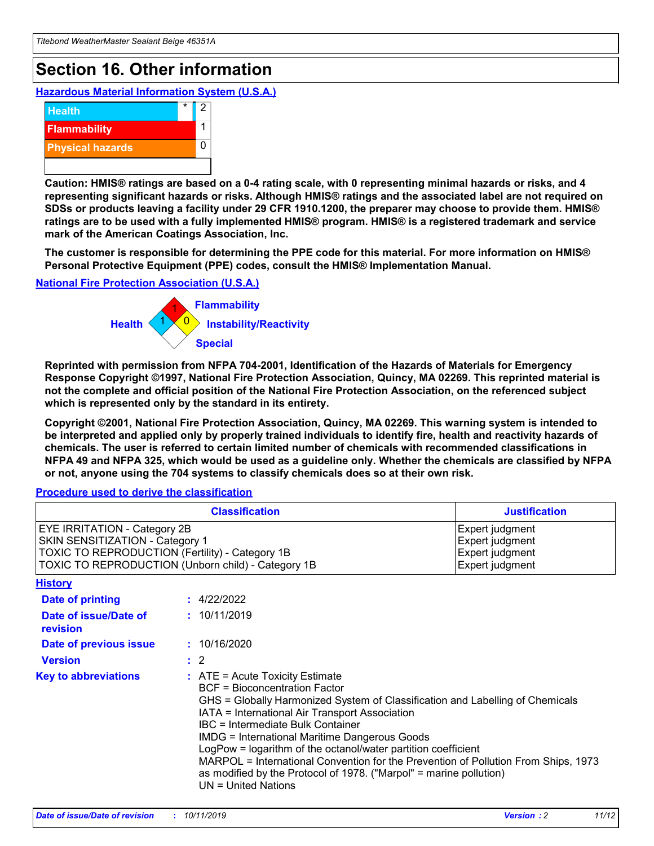## **Section 16. Other information**

**Hazardous Material Information System (U.S.A.)**



**Caution: HMIS® ratings are based on a 0-4 rating scale, with 0 representing minimal hazards or risks, and 4 representing significant hazards or risks. Although HMIS® ratings and the associated label are not required on SDSs or products leaving a facility under 29 CFR 1910.1200, the preparer may choose to provide them. HMIS® ratings are to be used with a fully implemented HMIS® program. HMIS® is a registered trademark and service mark of the American Coatings Association, Inc.**

**The customer is responsible for determining the PPE code for this material. For more information on HMIS® Personal Protective Equipment (PPE) codes, consult the HMIS® Implementation Manual.**

#### **National Fire Protection Association (U.S.A.)**



**Reprinted with permission from NFPA 704-2001, Identification of the Hazards of Materials for Emergency Response Copyright ©1997, National Fire Protection Association, Quincy, MA 02269. This reprinted material is not the complete and official position of the National Fire Protection Association, on the referenced subject which is represented only by the standard in its entirety.**

**Copyright ©2001, National Fire Protection Association, Quincy, MA 02269. This warning system is intended to be interpreted and applied only by properly trained individuals to identify fire, health and reactivity hazards of chemicals. The user is referred to certain limited number of chemicals with recommended classifications in NFPA 49 and NFPA 325, which would be used as a guideline only. Whether the chemicals are classified by NFPA or not, anyone using the 704 systems to classify chemicals does so at their own risk.**

**Procedure used to derive the classification**

| <b>Classification</b>                                                                                                                                                    |                                                                                                                                                  | <b>Justification</b>                                                                                                                                                                                                                                                                                                                                                                                                 |  |
|--------------------------------------------------------------------------------------------------------------------------------------------------------------------------|--------------------------------------------------------------------------------------------------------------------------------------------------|----------------------------------------------------------------------------------------------------------------------------------------------------------------------------------------------------------------------------------------------------------------------------------------------------------------------------------------------------------------------------------------------------------------------|--|
| EYE IRRITATION - Category 2B<br>SKIN SENSITIZATION - Category 1<br>TOXIC TO REPRODUCTION (Fertility) - Category 1B<br>TOXIC TO REPRODUCTION (Unborn child) - Category 1B |                                                                                                                                                  | Expert judgment<br>Expert judgment<br>Expert judgment<br>Expert judgment                                                                                                                                                                                                                                                                                                                                             |  |
| <b>History</b>                                                                                                                                                           |                                                                                                                                                  |                                                                                                                                                                                                                                                                                                                                                                                                                      |  |
| Date of printing                                                                                                                                                         | : 4/22/2022                                                                                                                                      |                                                                                                                                                                                                                                                                                                                                                                                                                      |  |
| Date of issue/Date of<br>revision                                                                                                                                        | : 10/11/2019                                                                                                                                     |                                                                                                                                                                                                                                                                                                                                                                                                                      |  |
| Date of previous issue                                                                                                                                                   | : 10/16/2020                                                                                                                                     |                                                                                                                                                                                                                                                                                                                                                                                                                      |  |
| <b>Version</b>                                                                                                                                                           | $\therefore$ 2                                                                                                                                   |                                                                                                                                                                                                                                                                                                                                                                                                                      |  |
| <b>Key to abbreviations</b>                                                                                                                                              | $\therefore$ ATE = Acute Toxicity Estimate<br><b>BCF</b> = Bioconcentration Factor<br>IBC = Intermediate Bulk Container<br>$UN = United Nations$ | GHS = Globally Harmonized System of Classification and Labelling of Chemicals<br>IATA = International Air Transport Association<br><b>IMDG = International Maritime Dangerous Goods</b><br>LogPow = logarithm of the octanol/water partition coefficient<br>MARPOL = International Convention for the Prevention of Pollution From Ships, 1973<br>as modified by the Protocol of 1978. ("Marpol" = marine pollution) |  |